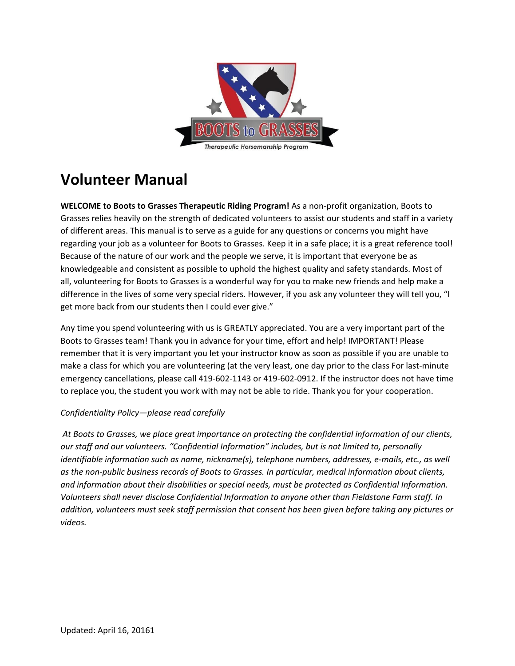

# **Volunteer Manual**

**WELCOME to Boots to Grasses Therapeutic Riding Program!** As a non-profit organization, Boots to Grasses relies heavily on the strength of dedicated volunteers to assist our students and staff in a variety of different areas. This manual is to serve as a guide for any questions or concerns you might have regarding your job as a volunteer for Boots to Grasses. Keep it in a safe place; it is a great reference tool! Because of the nature of our work and the people we serve, it is important that everyone be as knowledgeable and consistent as possible to uphold the highest quality and safety standards. Most of all, volunteering for Boots to Grasses is a wonderful way for you to make new friends and help make a difference in the lives of some very special riders. However, if you ask any volunteer they will tell you, "I get more back from our students then I could ever give."

Any time you spend volunteering with us is GREATLY appreciated. You are a very important part of the Boots to Grasses team! Thank you in advance for your time, effort and help! IMPORTANT! Please remember that it is very important you let your instructor know as soon as possible if you are unable to make a class for which you are volunteering (at the very least, one day prior to the class For last-minute emergency cancellations, please call 419-602-1143 or 419-602-0912. If the instructor does not have time to replace you, the student you work with may not be able to ride. Thank you for your cooperation.

## *Confidentiality Policy—please read carefully*

*At Boots to Grasses, we place great importance on protecting the confidential information of our clients, our staff and our volunteers. "Confidential Information" includes, but is not limited to, personally identifiable information such as name, nickname(s), telephone numbers, addresses, e-mails, etc., as well as the non-public business records of Boots to Grasses. In particular, medical information about clients, and information about their disabilities or special needs, must be protected as Confidential Information. Volunteers shall never disclose Confidential Information to anyone other than Fieldstone Farm staff. In addition, volunteers must seek staff permission that consent has been given before taking any pictures or videos.*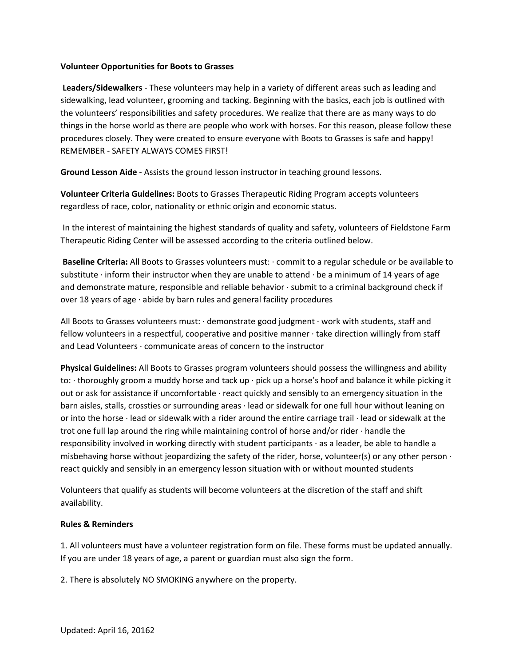#### **Volunteer Opportunities for Boots to Grasses**

**Leaders/Sidewalkers** - These volunteers may help in a variety of different areas such as leading and sidewalking, lead volunteer, grooming and tacking. Beginning with the basics, each job is outlined with the volunteers' responsibilities and safety procedures. We realize that there are as many ways to do things in the horse world as there are people who work with horses. For this reason, please follow these procedures closely. They were created to ensure everyone with Boots to Grasses is safe and happy! REMEMBER - SAFETY ALWAYS COMES FIRST!

**Ground Lesson Aide** - Assists the ground lesson instructor in teaching ground lessons.

**Volunteer Criteria Guidelines:** Boots to Grasses Therapeutic Riding Program accepts volunteers regardless of race, color, nationality or ethnic origin and economic status.

In the interest of maintaining the highest standards of quality and safety, volunteers of Fieldstone Farm Therapeutic Riding Center will be assessed according to the criteria outlined below.

**Baseline Criteria:** All Boots to Grasses volunteers must: · commit to a regular schedule or be available to substitute  $\cdot$  inform their instructor when they are unable to attend  $\cdot$  be a minimum of 14 years of age and demonstrate mature, responsible and reliable behavior  $\cdot$  submit to a criminal background check if over 18 years of age · abide by barn rules and general facility procedures

All Boots to Grasses volunteers must: · demonstrate good judgment · work with students, staff and fellow volunteers in a respectful, cooperative and positive manner · take direction willingly from staff and Lead Volunteers · communicate areas of concern to the instructor

**Physical Guidelines:** All Boots to Grasses program volunteers should possess the willingness and ability to: · thoroughly groom a muddy horse and tack up · pick up a horse's hoof and balance it while picking it out or ask for assistance if uncomfortable · react quickly and sensibly to an emergency situation in the barn aisles, stalls, crossties or surrounding areas · lead or sidewalk for one full hour without leaning on or into the horse · lead or sidewalk with a rider around the entire carriage trail · lead or sidewalk at the trot one full lap around the ring while maintaining control of horse and/or rider  $\cdot$  handle the responsibility involved in working directly with student participants · as a leader, be able to handle a misbehaving horse without jeopardizing the safety of the rider, horse, volunteer(s) or any other person  $\cdot$ react quickly and sensibly in an emergency lesson situation with or without mounted students

Volunteers that qualify as students will become volunteers at the discretion of the staff and shift availability.

## **Rules & Reminders**

1. All volunteers must have a volunteer registration form on file. These forms must be updated annually. If you are under 18 years of age, a parent or guardian must also sign the form.

2. There is absolutely NO SMOKING anywhere on the property.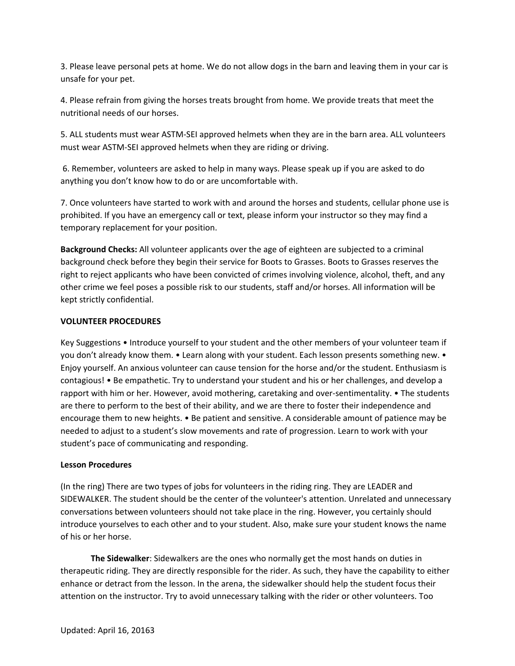3. Please leave personal pets at home. We do not allow dogs in the barn and leaving them in your car is unsafe for your pet.

4. Please refrain from giving the horses treats brought from home. We provide treats that meet the nutritional needs of our horses.

5. ALL students must wear ASTM-SEI approved helmets when they are in the barn area. ALL volunteers must wear ASTM-SEI approved helmets when they are riding or driving.

6. Remember, volunteers are asked to help in many ways. Please speak up if you are asked to do anything you don't know how to do or are uncomfortable with.

7. Once volunteers have started to work with and around the horses and students, cellular phone use is prohibited. If you have an emergency call or text, please inform your instructor so they may find a temporary replacement for your position.

**Background Checks:** All volunteer applicants over the age of eighteen are subjected to a criminal background check before they begin their service for Boots to Grasses. Boots to Grasses reserves the right to reject applicants who have been convicted of crimes involving violence, alcohol, theft, and any other crime we feel poses a possible risk to our students, staff and/or horses. All information will be kept strictly confidential.

#### **VOLUNTEER PROCEDURES**

Key Suggestions • Introduce yourself to your student and the other members of your volunteer team if you don't already know them. • Learn along with your student. Each lesson presents something new. • Enjoy yourself. An anxious volunteer can cause tension for the horse and/or the student. Enthusiasm is contagious! • Be empathetic. Try to understand your student and his or her challenges, and develop a rapport with him or her. However, avoid mothering, caretaking and over-sentimentality. • The students are there to perform to the best of their ability, and we are there to foster their independence and encourage them to new heights. • Be patient and sensitive. A considerable amount of patience may be needed to adjust to a student's slow movements and rate of progression. Learn to work with your student's pace of communicating and responding.

#### **Lesson Procedures**

(In the ring) There are two types of jobs for volunteers in the riding ring. They are LEADER and SIDEWALKER. The student should be the center of the volunteer's attention. Unrelated and unnecessary conversations between volunteers should not take place in the ring. However, you certainly should introduce yourselves to each other and to your student. Also, make sure your student knows the name of his or her horse.

**The Sidewalker**: Sidewalkers are the ones who normally get the most hands on duties in therapeutic riding. They are directly responsible for the rider. As such, they have the capability to either enhance or detract from the lesson. In the arena, the sidewalker should help the student focus their attention on the instructor. Try to avoid unnecessary talking with the rider or other volunteers. Too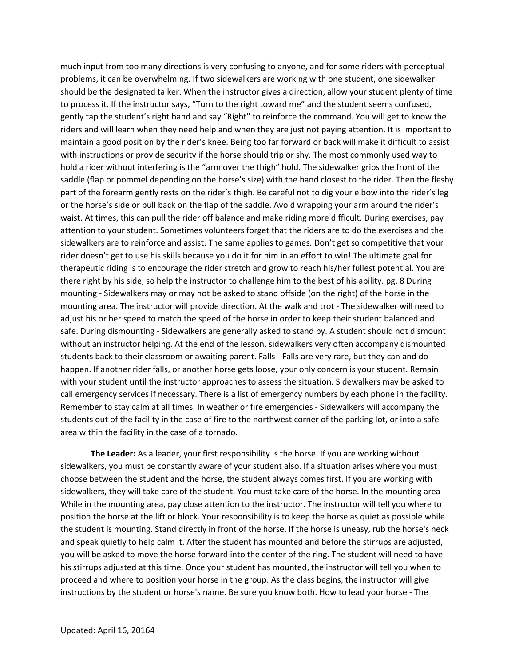much input from too many directions is very confusing to anyone, and for some riders with perceptual problems, it can be overwhelming. If two sidewalkers are working with one student, one sidewalker should be the designated talker. When the instructor gives a direction, allow your student plenty of time to process it. If the instructor says, "Turn to the right toward me" and the student seems confused, gently tap the student's right hand and say "Right" to reinforce the command. You will get to know the riders and will learn when they need help and when they are just not paying attention. It is important to maintain a good position by the rider's knee. Being too far forward or back will make it difficult to assist with instructions or provide security if the horse should trip or shy. The most commonly used way to hold a rider without interfering is the "arm over the thigh" hold. The sidewalker grips the front of the saddle (flap or pommel depending on the horse's size) with the hand closest to the rider. Then the fleshy part of the forearm gently rests on the rider's thigh. Be careful not to dig your elbow into the rider's leg or the horse's side or pull back on the flap of the saddle. Avoid wrapping your arm around the rider's waist. At times, this can pull the rider off balance and make riding more difficult. During exercises, pay attention to your student. Sometimes volunteers forget that the riders are to do the exercises and the sidewalkers are to reinforce and assist. The same applies to games. Don't get so competitive that your rider doesn't get to use his skills because you do it for him in an effort to win! The ultimate goal for therapeutic riding is to encourage the rider stretch and grow to reach his/her fullest potential. You are there right by his side, so help the instructor to challenge him to the best of his ability. pg. 8 During mounting - Sidewalkers may or may not be asked to stand offside (on the right) of the horse in the mounting area. The instructor will provide direction. At the walk and trot - The sidewalker will need to adjust his or her speed to match the speed of the horse in order to keep their student balanced and safe. During dismounting - Sidewalkers are generally asked to stand by. A student should not dismount without an instructor helping. At the end of the lesson, sidewalkers very often accompany dismounted students back to their classroom or awaiting parent. Falls - Falls are very rare, but they can and do happen. If another rider falls, or another horse gets loose, your only concern is your student. Remain with your student until the instructor approaches to assess the situation. Sidewalkers may be asked to call emergency services if necessary. There is a list of emergency numbers by each phone in the facility. Remember to stay calm at all times. In weather or fire emergencies - Sidewalkers will accompany the students out of the facility in the case of fire to the northwest corner of the parking lot, or into a safe area within the facility in the case of a tornado.

**The Leader:** As a leader, your first responsibility is the horse. If you are working without sidewalkers, you must be constantly aware of your student also. If a situation arises where you must choose between the student and the horse, the student always comes first. If you are working with sidewalkers, they will take care of the student. You must take care of the horse. In the mounting area - While in the mounting area, pay close attention to the instructor. The instructor will tell you where to position the horse at the lift or block. Your responsibility is to keep the horse as quiet as possible while the student is mounting. Stand directly in front of the horse. If the horse is uneasy, rub the horse's neck and speak quietly to help calm it. After the student has mounted and before the stirrups are adjusted, you will be asked to move the horse forward into the center of the ring. The student will need to have his stirrups adjusted at this time. Once your student has mounted, the instructor will tell you when to proceed and where to position your horse in the group. As the class begins, the instructor will give instructions by the student or horse's name. Be sure you know both. How to lead your horse - The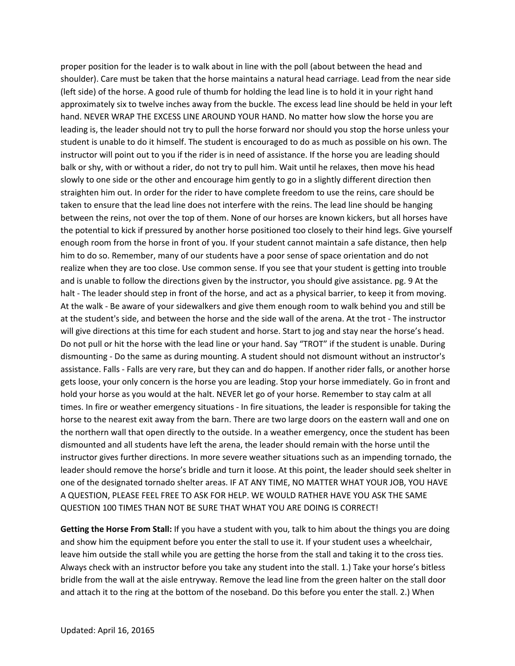proper position for the leader is to walk about in line with the poll (about between the head and shoulder). Care must be taken that the horse maintains a natural head carriage. Lead from the near side (left side) of the horse. A good rule of thumb for holding the lead line is to hold it in your right hand approximately six to twelve inches away from the buckle. The excess lead line should be held in your left hand. NEVER WRAP THE EXCESS LINE AROUND YOUR HAND. No matter how slow the horse you are leading is, the leader should not try to pull the horse forward nor should you stop the horse unless your student is unable to do it himself. The student is encouraged to do as much as possible on his own. The instructor will point out to you if the rider is in need of assistance. If the horse you are leading should balk or shy, with or without a rider, do not try to pull him. Wait until he relaxes, then move his head slowly to one side or the other and encourage him gently to go in a slightly different direction then straighten him out. In order for the rider to have complete freedom to use the reins, care should be taken to ensure that the lead line does not interfere with the reins. The lead line should be hanging between the reins, not over the top of them. None of our horses are known kickers, but all horses have the potential to kick if pressured by another horse positioned too closely to their hind legs. Give yourself enough room from the horse in front of you. If your student cannot maintain a safe distance, then help him to do so. Remember, many of our students have a poor sense of space orientation and do not realize when they are too close. Use common sense. If you see that your student is getting into trouble and is unable to follow the directions given by the instructor, you should give assistance. pg. 9 At the halt - The leader should step in front of the horse, and act as a physical barrier, to keep it from moving. At the walk - Be aware of your sidewalkers and give them enough room to walk behind you and still be at the student's side, and between the horse and the side wall of the arena. At the trot - The instructor will give directions at this time for each student and horse. Start to jog and stay near the horse's head. Do not pull or hit the horse with the lead line or your hand. Say "TROT" if the student is unable. During dismounting - Do the same as during mounting. A student should not dismount without an instructor's assistance. Falls - Falls are very rare, but they can and do happen. If another rider falls, or another horse gets loose, your only concern is the horse you are leading. Stop your horse immediately. Go in front and hold your horse as you would at the halt. NEVER let go of your horse. Remember to stay calm at all times. In fire or weather emergency situations - In fire situations, the leader is responsible for taking the horse to the nearest exit away from the barn. There are two large doors on the eastern wall and one on the northern wall that open directly to the outside. In a weather emergency, once the student has been dismounted and all students have left the arena, the leader should remain with the horse until the instructor gives further directions. In more severe weather situations such as an impending tornado, the leader should remove the horse's bridle and turn it loose. At this point, the leader should seek shelter in one of the designated tornado shelter areas. IF AT ANY TIME, NO MATTER WHAT YOUR JOB, YOU HAVE A QUESTION, PLEASE FEEL FREE TO ASK FOR HELP. WE WOULD RATHER HAVE YOU ASK THE SAME QUESTION 100 TIMES THAN NOT BE SURE THAT WHAT YOU ARE DOING IS CORRECT!

**Getting the Horse From Stall:** If you have a student with you, talk to him about the things you are doing and show him the equipment before you enter the stall to use it. If your student uses a wheelchair, leave him outside the stall while you are getting the horse from the stall and taking it to the cross ties. Always check with an instructor before you take any student into the stall. 1.) Take your horse's bitless bridle from the wall at the aisle entryway. Remove the lead line from the green halter on the stall door and attach it to the ring at the bottom of the noseband. Do this before you enter the stall. 2.) When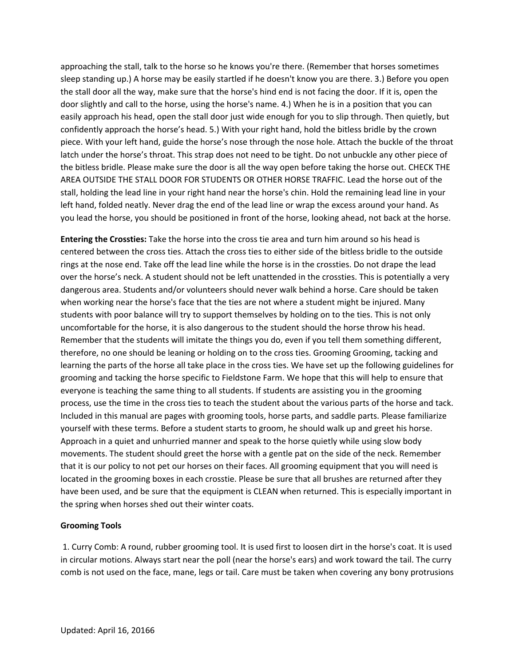approaching the stall, talk to the horse so he knows you're there. (Remember that horses sometimes sleep standing up.) A horse may be easily startled if he doesn't know you are there. 3.) Before you open the stall door all the way, make sure that the horse's hind end is not facing the door. If it is, open the door slightly and call to the horse, using the horse's name. 4.) When he is in a position that you can easily approach his head, open the stall door just wide enough for you to slip through. Then quietly, but confidently approach the horse's head. 5.) With your right hand, hold the bitless bridle by the crown piece. With your left hand, guide the horse's nose through the nose hole. Attach the buckle of the throat latch under the horse's throat. This strap does not need to be tight. Do not unbuckle any other piece of the bitless bridle. Please make sure the door is all the way open before taking the horse out. CHECK THE AREA OUTSIDE THE STALL DOOR FOR STUDENTS OR OTHER HORSE TRAFFIC. Lead the horse out of the stall, holding the lead line in your right hand near the horse's chin. Hold the remaining lead line in your left hand, folded neatly. Never drag the end of the lead line or wrap the excess around your hand. As you lead the horse, you should be positioned in front of the horse, looking ahead, not back at the horse.

**Entering the Crossties:** Take the horse into the cross tie area and turn him around so his head is centered between the cross ties. Attach the cross ties to either side of the bitless bridle to the outside rings at the nose end. Take off the lead line while the horse is in the crossties. Do not drape the lead over the horse's neck. A student should not be left unattended in the crossties. This is potentially a very dangerous area. Students and/or volunteers should never walk behind a horse. Care should be taken when working near the horse's face that the ties are not where a student might be injured. Many students with poor balance will try to support themselves by holding on to the ties. This is not only uncomfortable for the horse, it is also dangerous to the student should the horse throw his head. Remember that the students will imitate the things you do, even if you tell them something different, therefore, no one should be leaning or holding on to the cross ties. Grooming Grooming, tacking and learning the parts of the horse all take place in the cross ties. We have set up the following guidelines for grooming and tacking the horse specific to Fieldstone Farm. We hope that this will help to ensure that everyone is teaching the same thing to all students. If students are assisting you in the grooming process, use the time in the cross ties to teach the student about the various parts of the horse and tack. Included in this manual are pages with grooming tools, horse parts, and saddle parts. Please familiarize yourself with these terms. Before a student starts to groom, he should walk up and greet his horse. Approach in a quiet and unhurried manner and speak to the horse quietly while using slow body movements. The student should greet the horse with a gentle pat on the side of the neck. Remember that it is our policy to not pet our horses on their faces. All grooming equipment that you will need is located in the grooming boxes in each crosstie. Please be sure that all brushes are returned after they have been used, and be sure that the equipment is CLEAN when returned. This is especially important in the spring when horses shed out their winter coats.

## **Grooming Tools**

1. Curry Comb: A round, rubber grooming tool. It is used first to loosen dirt in the horse's coat. It is used in circular motions. Always start near the poll (near the horse's ears) and work toward the tail. The curry comb is not used on the face, mane, legs or tail. Care must be taken when covering any bony protrusions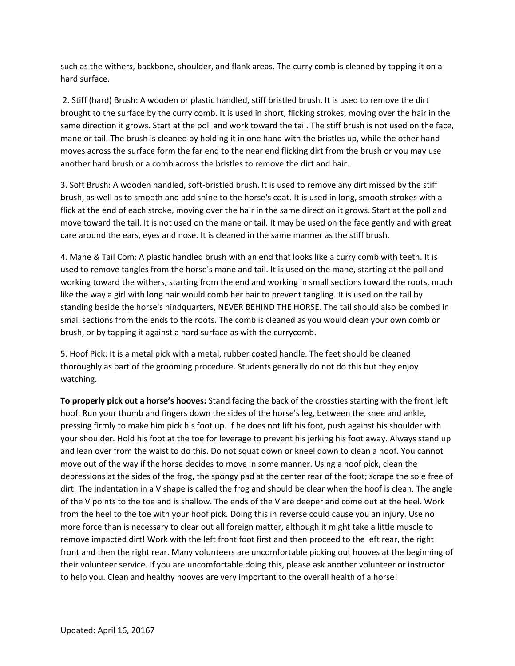such as the withers, backbone, shoulder, and flank areas. The curry comb is cleaned by tapping it on a hard surface.

2. Stiff (hard) Brush: A wooden or plastic handled, stiff bristled brush. It is used to remove the dirt brought to the surface by the curry comb. It is used in short, flicking strokes, moving over the hair in the same direction it grows. Start at the poll and work toward the tail. The stiff brush is not used on the face, mane or tail. The brush is cleaned by holding it in one hand with the bristles up, while the other hand moves across the surface form the far end to the near end flicking dirt from the brush or you may use another hard brush or a comb across the bristles to remove the dirt and hair.

3. Soft Brush: A wooden handled, soft-bristled brush. It is used to remove any dirt missed by the stiff brush, as well as to smooth and add shine to the horse's coat. It is used in long, smooth strokes with a flick at the end of each stroke, moving over the hair in the same direction it grows. Start at the poll and move toward the tail. It is not used on the mane or tail. It may be used on the face gently and with great care around the ears, eyes and nose. It is cleaned in the same manner as the stiff brush.

4. Mane & Tail Com: A plastic handled brush with an end that looks like a curry comb with teeth. It is used to remove tangles from the horse's mane and tail. It is used on the mane, starting at the poll and working toward the withers, starting from the end and working in small sections toward the roots, much like the way a girl with long hair would comb her hair to prevent tangling. It is used on the tail by standing beside the horse's hindquarters, NEVER BEHIND THE HORSE. The tail should also be combed in small sections from the ends to the roots. The comb is cleaned as you would clean your own comb or brush, or by tapping it against a hard surface as with the currycomb.

5. Hoof Pick: It is a metal pick with a metal, rubber coated handle. The feet should be cleaned thoroughly as part of the grooming procedure. Students generally do not do this but they enjoy watching.

**To properly pick out a horse's hooves:** Stand facing the back of the crossties starting with the front left hoof. Run your thumb and fingers down the sides of the horse's leg, between the knee and ankle, pressing firmly to make him pick his foot up. If he does not lift his foot, push against his shoulder with your shoulder. Hold his foot at the toe for leverage to prevent his jerking his foot away. Always stand up and lean over from the waist to do this. Do not squat down or kneel down to clean a hoof. You cannot move out of the way if the horse decides to move in some manner. Using a hoof pick, clean the depressions at the sides of the frog, the spongy pad at the center rear of the foot; scrape the sole free of dirt. The indentation in a V shape is called the frog and should be clear when the hoof is clean. The angle of the V points to the toe and is shallow. The ends of the V are deeper and come out at the heel. Work from the heel to the toe with your hoof pick. Doing this in reverse could cause you an injury. Use no more force than is necessary to clear out all foreign matter, although it might take a little muscle to remove impacted dirt! Work with the left front foot first and then proceed to the left rear, the right front and then the right rear. Many volunteers are uncomfortable picking out hooves at the beginning of their volunteer service. If you are uncomfortable doing this, please ask another volunteer or instructor to help you. Clean and healthy hooves are very important to the overall health of a horse!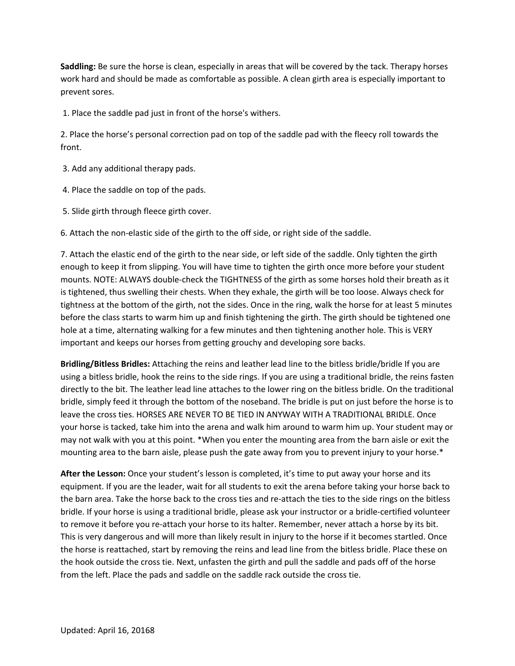**Saddling:** Be sure the horse is clean, especially in areas that will be covered by the tack. Therapy horses work hard and should be made as comfortable as possible. A clean girth area is especially important to prevent sores.

1. Place the saddle pad just in front of the horse's withers.

2. Place the horse's personal correction pad on top of the saddle pad with the fleecy roll towards the front.

- 3. Add any additional therapy pads.
- 4. Place the saddle on top of the pads.
- 5. Slide girth through fleece girth cover.

6. Attach the non-elastic side of the girth to the off side, or right side of the saddle.

7. Attach the elastic end of the girth to the near side, or left side of the saddle. Only tighten the girth enough to keep it from slipping. You will have time to tighten the girth once more before your student mounts. NOTE: ALWAYS double-check the TIGHTNESS of the girth as some horses hold their breath as it is tightened, thus swelling their chests. When they exhale, the girth will be too loose. Always check for tightness at the bottom of the girth, not the sides. Once in the ring, walk the horse for at least 5 minutes before the class starts to warm him up and finish tightening the girth. The girth should be tightened one hole at a time, alternating walking for a few minutes and then tightening another hole. This is VERY important and keeps our horses from getting grouchy and developing sore backs.

**Bridling/Bitless Bridles:** Attaching the reins and leather lead line to the bitless bridle/bridle If you are using a bitless bridle, hook the reins to the side rings. If you are using a traditional bridle, the reins fasten directly to the bit. The leather lead line attaches to the lower ring on the bitless bridle. On the traditional bridle, simply feed it through the bottom of the noseband. The bridle is put on just before the horse is to leave the cross ties. HORSES ARE NEVER TO BE TIED IN ANYWAY WITH A TRADITIONAL BRIDLE. Once your horse is tacked, take him into the arena and walk him around to warm him up. Your student may or may not walk with you at this point. \*When you enter the mounting area from the barn aisle or exit the mounting area to the barn aisle, please push the gate away from you to prevent injury to your horse.\*

**After the Lesson:** Once your student's lesson is completed, it's time to put away your horse and its equipment. If you are the leader, wait for all students to exit the arena before taking your horse back to the barn area. Take the horse back to the cross ties and re-attach the ties to the side rings on the bitless bridle. If your horse is using a traditional bridle, please ask your instructor or a bridle-certified volunteer to remove it before you re-attach your horse to its halter. Remember, never attach a horse by its bit. This is very dangerous and will more than likely result in injury to the horse if it becomes startled. Once the horse is reattached, start by removing the reins and lead line from the bitless bridle. Place these on the hook outside the cross tie. Next, unfasten the girth and pull the saddle and pads off of the horse from the left. Place the pads and saddle on the saddle rack outside the cross tie.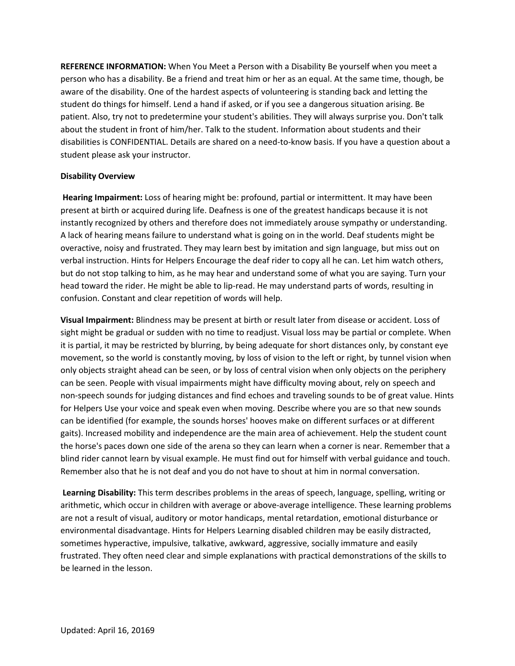**REFERENCE INFORMATION:** When You Meet a Person with a Disability Be yourself when you meet a person who has a disability. Be a friend and treat him or her as an equal. At the same time, though, be aware of the disability. One of the hardest aspects of volunteering is standing back and letting the student do things for himself. Lend a hand if asked, or if you see a dangerous situation arising. Be patient. Also, try not to predetermine your student's abilities. They will always surprise you. Don't talk about the student in front of him/her. Talk to the student. Information about students and their disabilities is CONFIDENTIAL. Details are shared on a need-to-know basis. If you have a question about a student please ask your instructor.

## **Disability Overview**

**Hearing Impairment:** Loss of hearing might be: profound, partial or intermittent. It may have been present at birth or acquired during life. Deafness is one of the greatest handicaps because it is not instantly recognized by others and therefore does not immediately arouse sympathy or understanding. A lack of hearing means failure to understand what is going on in the world. Deaf students might be overactive, noisy and frustrated. They may learn best by imitation and sign language, but miss out on verbal instruction. Hints for Helpers Encourage the deaf rider to copy all he can. Let him watch others, but do not stop talking to him, as he may hear and understand some of what you are saying. Turn your head toward the rider. He might be able to lip-read. He may understand parts of words, resulting in confusion. Constant and clear repetition of words will help.

**Visual Impairment:** Blindness may be present at birth or result later from disease or accident. Loss of sight might be gradual or sudden with no time to readjust. Visual loss may be partial or complete. When it is partial, it may be restricted by blurring, by being adequate for short distances only, by constant eye movement, so the world is constantly moving, by loss of vision to the left or right, by tunnel vision when only objects straight ahead can be seen, or by loss of central vision when only objects on the periphery can be seen. People with visual impairments might have difficulty moving about, rely on speech and non-speech sounds for judging distances and find echoes and traveling sounds to be of great value. Hints for Helpers Use your voice and speak even when moving. Describe where you are so that new sounds can be identified (for example, the sounds horses' hooves make on different surfaces or at different gaits). Increased mobility and independence are the main area of achievement. Help the student count the horse's paces down one side of the arena so they can learn when a corner is near. Remember that a blind rider cannot learn by visual example. He must find out for himself with verbal guidance and touch. Remember also that he is not deaf and you do not have to shout at him in normal conversation.

**Learning Disability:** This term describes problems in the areas of speech, language, spelling, writing or arithmetic, which occur in children with average or above-average intelligence. These learning problems are not a result of visual, auditory or motor handicaps, mental retardation, emotional disturbance or environmental disadvantage. Hints for Helpers Learning disabled children may be easily distracted, sometimes hyperactive, impulsive, talkative, awkward, aggressive, socially immature and easily frustrated. They often need clear and simple explanations with practical demonstrations of the skills to be learned in the lesson.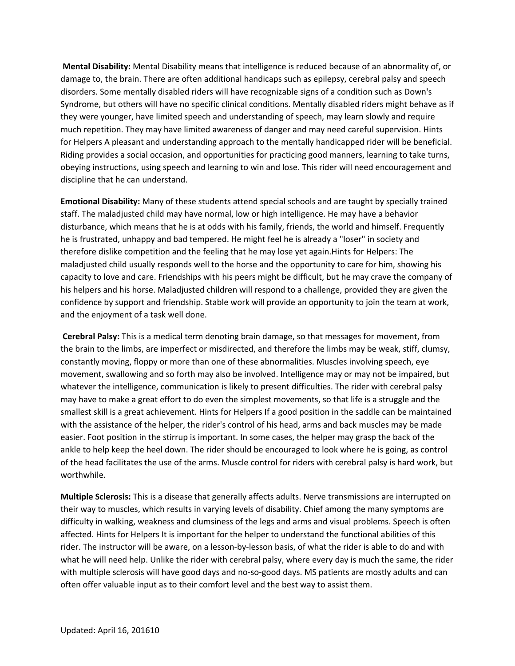**Mental Disability:** Mental Disability means that intelligence is reduced because of an abnormality of, or damage to, the brain. There are often additional handicaps such as epilepsy, cerebral palsy and speech disorders. Some mentally disabled riders will have recognizable signs of a condition such as Down's Syndrome, but others will have no specific clinical conditions. Mentally disabled riders might behave as if they were younger, have limited speech and understanding of speech, may learn slowly and require much repetition. They may have limited awareness of danger and may need careful supervision. Hints for Helpers A pleasant and understanding approach to the mentally handicapped rider will be beneficial. Riding provides a social occasion, and opportunities for practicing good manners, learning to take turns, obeying instructions, using speech and learning to win and lose. This rider will need encouragement and discipline that he can understand.

**Emotional Disability:** Many of these students attend special schools and are taught by specially trained staff. The maladjusted child may have normal, low or high intelligence. He may have a behavior disturbance, which means that he is at odds with his family, friends, the world and himself. Frequently he is frustrated, unhappy and bad tempered. He might feel he is already a "loser" in society and therefore dislike competition and the feeling that he may lose yet again.Hints for Helpers: The maladjusted child usually responds well to the horse and the opportunity to care for him, showing his capacity to love and care. Friendships with his peers might be difficult, but he may crave the company of his helpers and his horse. Maladjusted children will respond to a challenge, provided they are given the confidence by support and friendship. Stable work will provide an opportunity to join the team at work, and the enjoyment of a task well done.

**Cerebral Palsy:** This is a medical term denoting brain damage, so that messages for movement, from the brain to the limbs, are imperfect or misdirected, and therefore the limbs may be weak, stiff, clumsy, constantly moving, floppy or more than one of these abnormalities. Muscles involving speech, eye movement, swallowing and so forth may also be involved. Intelligence may or may not be impaired, but whatever the intelligence, communication is likely to present difficulties. The rider with cerebral palsy may have to make a great effort to do even the simplest movements, so that life is a struggle and the smallest skill is a great achievement. Hints for Helpers If a good position in the saddle can be maintained with the assistance of the helper, the rider's control of his head, arms and back muscles may be made easier. Foot position in the stirrup is important. In some cases, the helper may grasp the back of the ankle to help keep the heel down. The rider should be encouraged to look where he is going, as control of the head facilitates the use of the arms. Muscle control for riders with cerebral palsy is hard work, but worthwhile.

**Multiple Sclerosis:** This is a disease that generally affects adults. Nerve transmissions are interrupted on their way to muscles, which results in varying levels of disability. Chief among the many symptoms are difficulty in walking, weakness and clumsiness of the legs and arms and visual problems. Speech is often affected. Hints for Helpers It is important for the helper to understand the functional abilities of this rider. The instructor will be aware, on a lesson-by-lesson basis, of what the rider is able to do and with what he will need help. Unlike the rider with cerebral palsy, where every day is much the same, the rider with multiple sclerosis will have good days and no-so-good days. MS patients are mostly adults and can often offer valuable input as to their comfort level and the best way to assist them.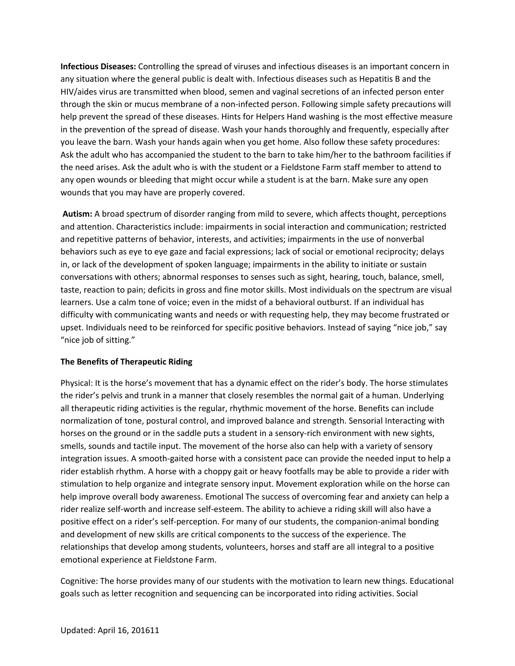**Infectious Diseases:** Controlling the spread of viruses and infectious diseases is an important concern in any situation where the general public is dealt with. Infectious diseases such as Hepatitis B and the HIV/aides virus are transmitted when blood, semen and vaginal secretions of an infected person enter through the skin or mucus membrane of a non-infected person. Following simple safety precautions will help prevent the spread of these diseases. Hints for Helpers Hand washing is the most effective measure in the prevention of the spread of disease. Wash your hands thoroughly and frequently, especially after you leave the barn. Wash your hands again when you get home. Also follow these safety procedures: Ask the adult who has accompanied the student to the barn to take him/her to the bathroom facilities if the need arises. Ask the adult who is with the student or a Fieldstone Farm staff member to attend to any open wounds or bleeding that might occur while a student is at the barn. Make sure any open wounds that you may have are properly covered.

**Autism:** A broad spectrum of disorder ranging from mild to severe, which affects thought, perceptions and attention. Characteristics include: impairments in social interaction and communication; restricted and repetitive patterns of behavior, interests, and activities; impairments in the use of nonverbal behaviors such as eye to eye gaze and facial expressions; lack of social or emotional reciprocity; delays in, or lack of the development of spoken language; impairments in the ability to initiate or sustain conversations with others; abnormal responses to senses such as sight, hearing, touch, balance, smell, taste, reaction to pain; deficits in gross and fine motor skills. Most individuals on the spectrum are visual learners. Use a calm tone of voice; even in the midst of a behavioral outburst. If an individual has difficulty with communicating wants and needs or with requesting help, they may become frustrated or upset. Individuals need to be reinforced for specific positive behaviors. Instead of saying "nice job," say "nice job of sitting."

## **The Benefits of Therapeutic Riding**

Physical: It is the horse's movement that has a dynamic effect on the rider's body. The horse stimulates the rider's pelvis and trunk in a manner that closely resembles the normal gait of a human. Underlying all therapeutic riding activities is the regular, rhythmic movement of the horse. Benefits can include normalization of tone, postural control, and improved balance and strength. Sensorial Interacting with horses on the ground or in the saddle puts a student in a sensory-rich environment with new sights, smells, sounds and tactile input. The movement of the horse also can help with a variety of sensory integration issues. A smooth-gaited horse with a consistent pace can provide the needed input to help a rider establish rhythm. A horse with a choppy gait or heavy footfalls may be able to provide a rider with stimulation to help organize and integrate sensory input. Movement exploration while on the horse can help improve overall body awareness. Emotional The success of overcoming fear and anxiety can help a rider realize self-worth and increase self-esteem. The ability to achieve a riding skill will also have a positive effect on a rider's self-perception. For many of our students, the companion-animal bonding and development of new skills are critical components to the success of the experience. The relationships that develop among students, volunteers, horses and staff are all integral to a positive emotional experience at Fieldstone Farm.

Cognitive: The horse provides many of our students with the motivation to learn new things. Educational goals such as letter recognition and sequencing can be incorporated into riding activities. Social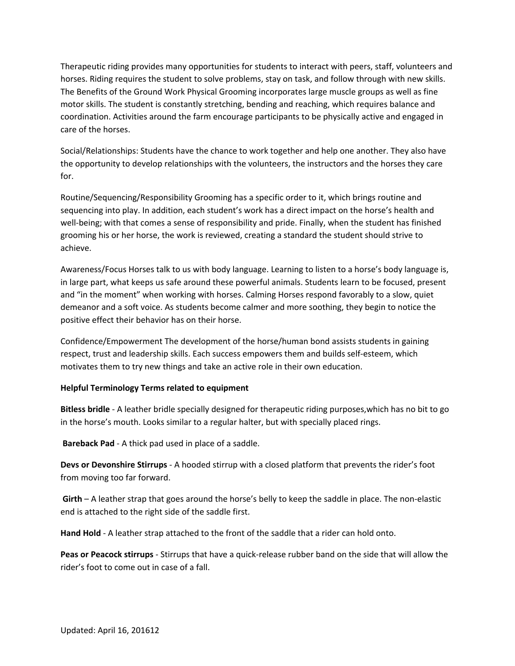Therapeutic riding provides many opportunities for students to interact with peers, staff, volunteers and horses. Riding requires the student to solve problems, stay on task, and follow through with new skills. The Benefits of the Ground Work Physical Grooming incorporates large muscle groups as well as fine motor skills. The student is constantly stretching, bending and reaching, which requires balance and coordination. Activities around the farm encourage participants to be physically active and engaged in care of the horses.

Social/Relationships: Students have the chance to work together and help one another. They also have the opportunity to develop relationships with the volunteers, the instructors and the horses they care for.

Routine/Sequencing/Responsibility Grooming has a specific order to it, which brings routine and sequencing into play. In addition, each student's work has a direct impact on the horse's health and well-being; with that comes a sense of responsibility and pride. Finally, when the student has finished grooming his or her horse, the work is reviewed, creating a standard the student should strive to achieve.

Awareness/Focus Horses talk to us with body language. Learning to listen to a horse's body language is, in large part, what keeps us safe around these powerful animals. Students learn to be focused, present and "in the moment" when working with horses. Calming Horses respond favorably to a slow, quiet demeanor and a soft voice. As students become calmer and more soothing, they begin to notice the positive effect their behavior has on their horse.

Confidence/Empowerment The development of the horse/human bond assists students in gaining respect, trust and leadership skills. Each success empowers them and builds self-esteem, which motivates them to try new things and take an active role in their own education.

## **Helpful Terminology Terms related to equipment**

**Bitless bridle** - A leather bridle specially designed for therapeutic riding purposes,which has no bit to go in the horse's mouth. Looks similar to a regular halter, but with specially placed rings.

**Bareback Pad** - A thick pad used in place of a saddle.

**Devs or Devonshire Stirrups** - A hooded stirrup with a closed platform that prevents the rider's foot from moving too far forward.

**Girth** – A leather strap that goes around the horse's belly to keep the saddle in place. The non-elastic end is attached to the right side of the saddle first.

**Hand Hold** - A leather strap attached to the front of the saddle that a rider can hold onto.

**Peas or Peacock stirrups** - Stirrups that have a quick-release rubber band on the side that will allow the rider's foot to come out in case of a fall.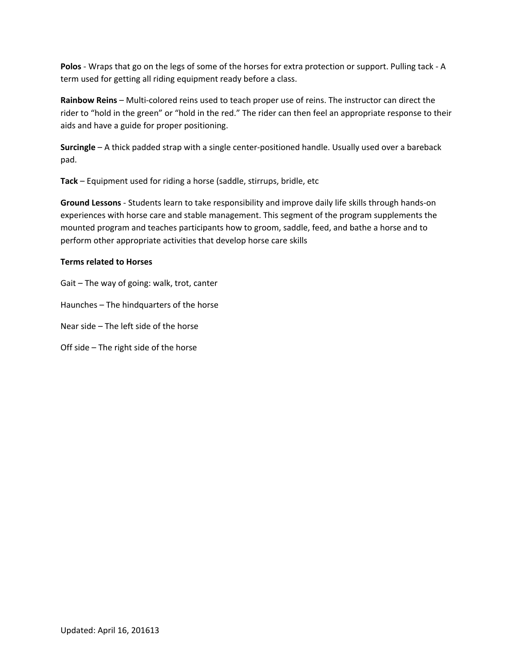**Polos** - Wraps that go on the legs of some of the horses for extra protection or support. Pulling tack - A term used for getting all riding equipment ready before a class.

**Rainbow Reins** – Multi-colored reins used to teach proper use of reins. The instructor can direct the rider to "hold in the green" or "hold in the red." The rider can then feel an appropriate response to their aids and have a guide for proper positioning.

**Surcingle** – A thick padded strap with a single center-positioned handle. Usually used over a bareback pad.

**Tack** – Equipment used for riding a horse (saddle, stirrups, bridle, etc

**Ground Lessons** - Students learn to take responsibility and improve daily life skills through hands-on experiences with horse care and stable management. This segment of the program supplements the mounted program and teaches participants how to groom, saddle, feed, and bathe a horse and to perform other appropriate activities that develop horse care skills

## **Terms related to Horses**

Gait – The way of going: walk, trot, canter

Haunches – The hindquarters of the horse

Near side – The left side of the horse

Off side – The right side of the horse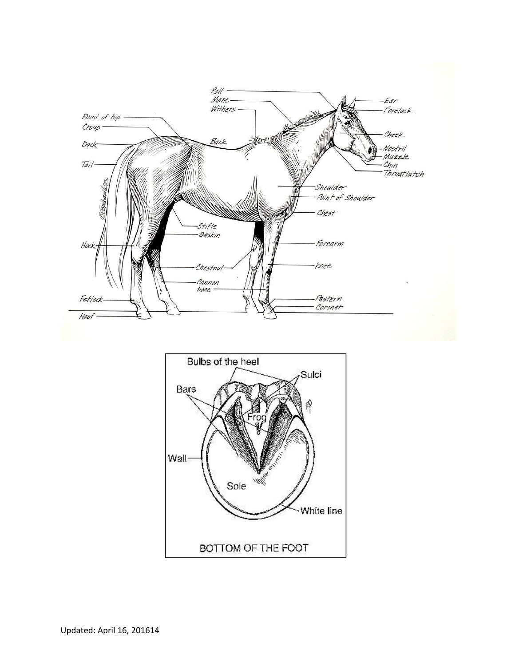

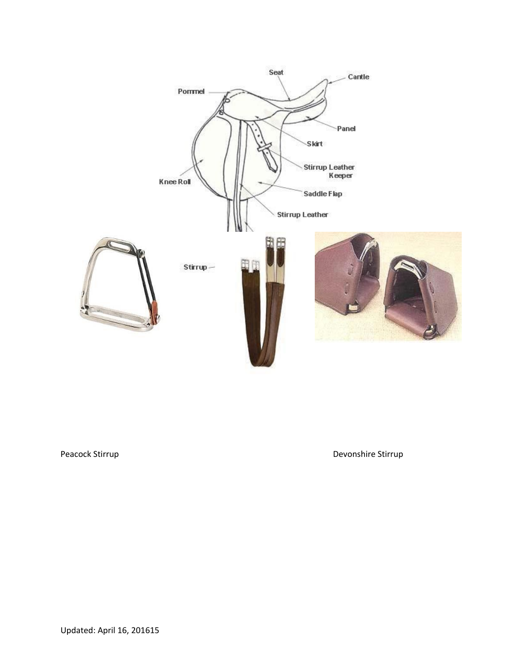

Peacock Stirrup **Devonshire Stirrup** Devonshire Stirrup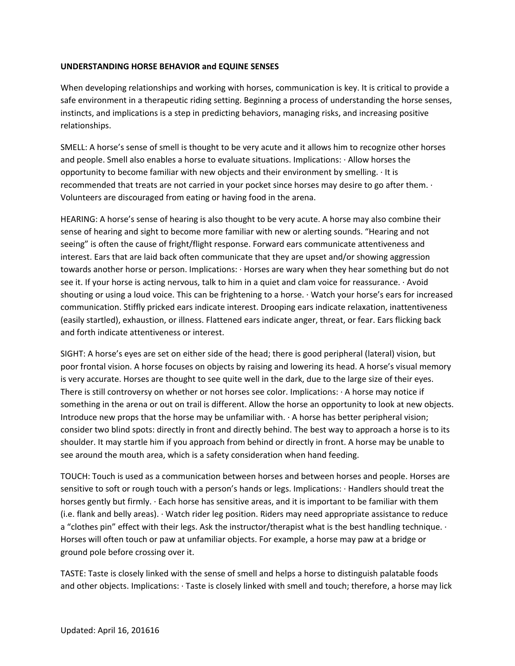#### **UNDERSTANDING HORSE BEHAVIOR and EQUINE SENSES**

When developing relationships and working with horses, communication is key. It is critical to provide a safe environment in a therapeutic riding setting. Beginning a process of understanding the horse senses, instincts, and implications is a step in predicting behaviors, managing risks, and increasing positive relationships.

SMELL: A horse's sense of smell is thought to be very acute and it allows him to recognize other horses and people. Smell also enables a horse to evaluate situations. Implications: · Allow horses the opportunity to become familiar with new objects and their environment by smelling. · It is recommended that treats are not carried in your pocket since horses may desire to go after them. · Volunteers are discouraged from eating or having food in the arena.

HEARING: A horse's sense of hearing is also thought to be very acute. A horse may also combine their sense of hearing and sight to become more familiar with new or alerting sounds. "Hearing and not seeing" is often the cause of fright/flight response. Forward ears communicate attentiveness and interest. Ears that are laid back often communicate that they are upset and/or showing aggression towards another horse or person. Implications: · Horses are wary when they hear something but do not see it. If your horse is acting nervous, talk to him in a quiet and clam voice for reassurance. · Avoid shouting or using a loud voice. This can be frightening to a horse. · Watch your horse's ears for increased communication. Stiffly pricked ears indicate interest. Drooping ears indicate relaxation, inattentiveness (easily startled), exhaustion, or illness. Flattened ears indicate anger, threat, or fear. Ears flicking back and forth indicate attentiveness or interest.

SIGHT: A horse's eyes are set on either side of the head; there is good peripheral (lateral) vision, but poor frontal vision. A horse focuses on objects by raising and lowering its head. A horse's visual memory is very accurate. Horses are thought to see quite well in the dark, due to the large size of their eyes. There is still controversy on whether or not horses see color. Implications: · A horse may notice if something in the arena or out on trail is different. Allow the horse an opportunity to look at new objects. Introduce new props that the horse may be unfamiliar with. · A horse has better peripheral vision; consider two blind spots: directly in front and directly behind. The best way to approach a horse is to its shoulder. It may startle him if you approach from behind or directly in front. A horse may be unable to see around the mouth area, which is a safety consideration when hand feeding.

TOUCH: Touch is used as a communication between horses and between horses and people. Horses are sensitive to soft or rough touch with a person's hands or legs. Implications: · Handlers should treat the horses gently but firmly.  $\cdot$  Each horse has sensitive areas, and it is important to be familiar with them (i.e. flank and belly areas). · Watch rider leg position. Riders may need appropriate assistance to reduce a "clothes pin" effect with their legs. Ask the instructor/therapist what is the best handling technique.  $\cdot$ Horses will often touch or paw at unfamiliar objects. For example, a horse may paw at a bridge or ground pole before crossing over it.

TASTE: Taste is closely linked with the sense of smell and helps a horse to distinguish palatable foods and other objects. Implications: · Taste is closely linked with smell and touch; therefore, a horse may lick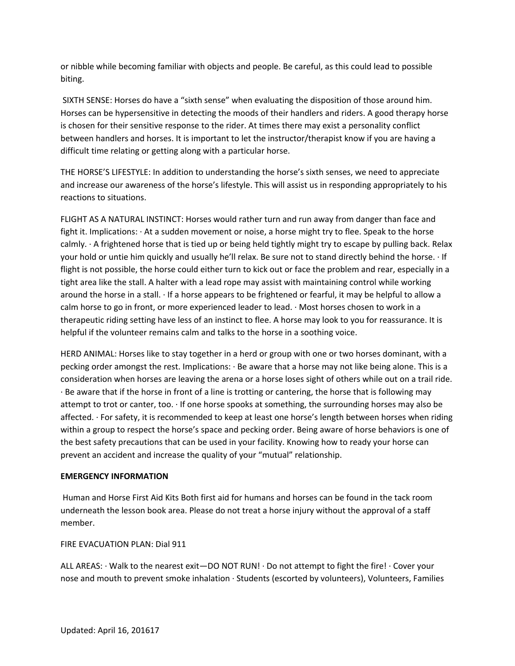or nibble while becoming familiar with objects and people. Be careful, as this could lead to possible biting.

SIXTH SENSE: Horses do have a "sixth sense" when evaluating the disposition of those around him. Horses can be hypersensitive in detecting the moods of their handlers and riders. A good therapy horse is chosen for their sensitive response to the rider. At times there may exist a personality conflict between handlers and horses. It is important to let the instructor/therapist know if you are having a difficult time relating or getting along with a particular horse.

THE HORSE'S LIFESTYLE: In addition to understanding the horse's sixth senses, we need to appreciate and increase our awareness of the horse's lifestyle. This will assist us in responding appropriately to his reactions to situations.

FLIGHT AS A NATURAL INSTINCT: Horses would rather turn and run away from danger than face and fight it. Implications: · At a sudden movement or noise, a horse might try to flee. Speak to the horse calmly. · A frightened horse that is tied up or being held tightly might try to escape by pulling back. Relax your hold or untie him quickly and usually he'll relax. Be sure not to stand directly behind the horse. · If flight is not possible, the horse could either turn to kick out or face the problem and rear, especially in a tight area like the stall. A halter with a lead rope may assist with maintaining control while working around the horse in a stall. · If a horse appears to be frightened or fearful, it may be helpful to allow a calm horse to go in front, or more experienced leader to lead. · Most horses chosen to work in a therapeutic riding setting have less of an instinct to flee. A horse may look to you for reassurance. It is helpful if the volunteer remains calm and talks to the horse in a soothing voice.

HERD ANIMAL: Horses like to stay together in a herd or group with one or two horses dominant, with a pecking order amongst the rest. Implications: · Be aware that a horse may not like being alone. This is a consideration when horses are leaving the arena or a horse loses sight of others while out on a trail ride. · Be aware that if the horse in front of a line is trotting or cantering, the horse that is following may attempt to trot or canter, too. · If one horse spooks at something, the surrounding horses may also be affected. · For safety, it is recommended to keep at least one horse's length between horses when riding within a group to respect the horse's space and pecking order. Being aware of horse behaviors is one of the best safety precautions that can be used in your facility. Knowing how to ready your horse can prevent an accident and increase the quality of your "mutual" relationship.

## **EMERGENCY INFORMATION**

Human and Horse First Aid Kits Both first aid for humans and horses can be found in the tack room underneath the lesson book area. Please do not treat a horse injury without the approval of a staff member.

## FIRE EVACUATION PLAN: Dial 911

ALL AREAS: · Walk to the nearest exit—DO NOT RUN! · Do not attempt to fight the fire! · Cover your nose and mouth to prevent smoke inhalation · Students (escorted by volunteers), Volunteers, Families